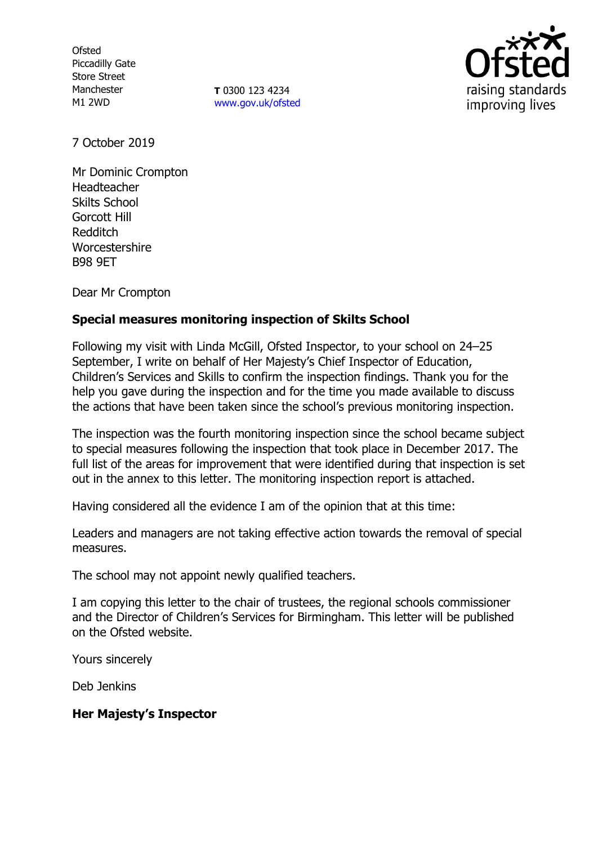**Ofsted** Piccadilly Gate Store Street Manchester M1 2WD

**T** 0300 123 4234 [www.gov.uk/ofsted](http://www.gov.uk/ofsted)



7 October 2019

Mr Dominic Crompton Headteacher Skilts School Gorcott Hill Redditch **Worcestershire** B98 9ET

Dear Mr Crompton

# **Special measures monitoring inspection of Skilts School**

Following my visit with Linda McGill, Ofsted Inspector, to your school on 24–25 September, I write on behalf of Her Majesty's Chief Inspector of Education, Children's Services and Skills to confirm the inspection findings. Thank you for the help you gave during the inspection and for the time you made available to discuss the actions that have been taken since the school's previous monitoring inspection.

The inspection was the fourth monitoring inspection since the school became subject to special measures following the inspection that took place in December 2017. The full list of the areas for improvement that were identified during that inspection is set out in the annex to this letter. The monitoring inspection report is attached.

Having considered all the evidence I am of the opinion that at this time:

Leaders and managers are not taking effective action towards the removal of special measures.

The school may not appoint newly qualified teachers.

I am copying this letter to the chair of trustees, the regional schools commissioner and the Director of Children's Services for Birmingham. This letter will be published on the Ofsted website.

Yours sincerely

Deb Jenkins

## **Her Majesty's Inspector**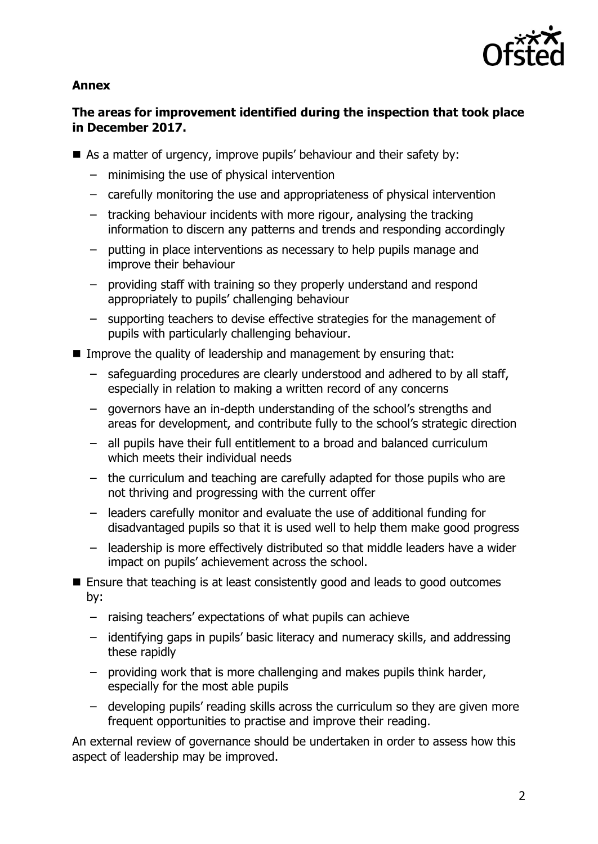

#### **Annex**

## **The areas for improvement identified during the inspection that took place in December 2017.**

- As a matter of urgency, improve pupils' behaviour and their safety by:
	- minimising the use of physical intervention
	- carefully monitoring the use and appropriateness of physical intervention
	- tracking behaviour incidents with more rigour, analysing the tracking information to discern any patterns and trends and responding accordingly
	- putting in place interventions as necessary to help pupils manage and improve their behaviour
	- providing staff with training so they properly understand and respond appropriately to pupils' challenging behaviour
	- supporting teachers to devise effective strategies for the management of pupils with particularly challenging behaviour.
- Improve the quality of leadership and management by ensuring that:
	- safeguarding procedures are clearly understood and adhered to by all staff, especially in relation to making a written record of any concerns
	- governors have an in-depth understanding of the school's strengths and areas for development, and contribute fully to the school's strategic direction
	- all pupils have their full entitlement to a broad and balanced curriculum which meets their individual needs
	- the curriculum and teaching are carefully adapted for those pupils who are not thriving and progressing with the current offer
	- leaders carefully monitor and evaluate the use of additional funding for disadvantaged pupils so that it is used well to help them make good progress
	- leadership is more effectively distributed so that middle leaders have a wider impact on pupils' achievement across the school.
- Ensure that teaching is at least consistently good and leads to good outcomes by:
	- raising teachers' expectations of what pupils can achieve
	- identifying gaps in pupils' basic literacy and numeracy skills, and addressing these rapidly
	- providing work that is more challenging and makes pupils think harder, especially for the most able pupils
	- developing pupils' reading skills across the curriculum so they are given more frequent opportunities to practise and improve their reading.

An external review of governance should be undertaken in order to assess how this aspect of leadership may be improved.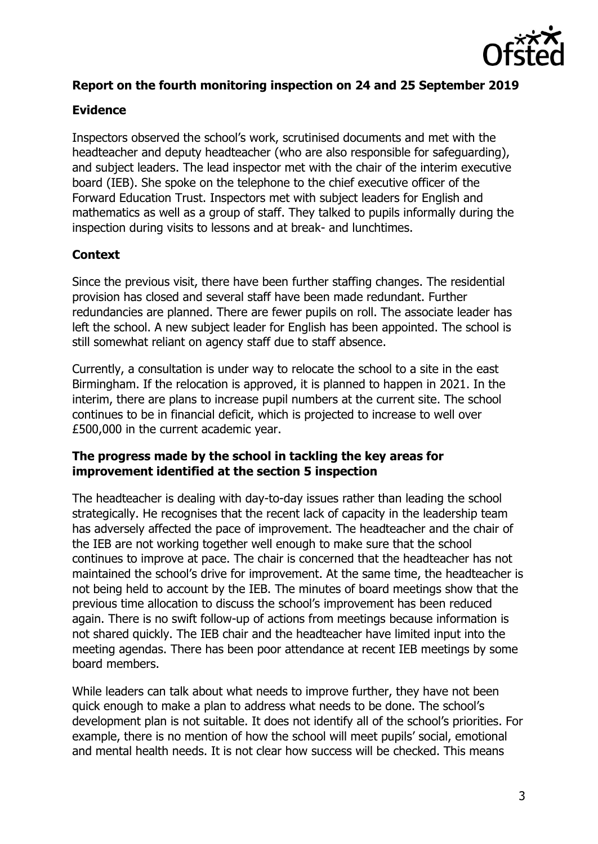

## **Report on the fourth monitoring inspection on 24 and 25 September 2019**

## **Evidence**

Inspectors observed the school's work, scrutinised documents and met with the headteacher and deputy headteacher (who are also responsible for safeguarding), and subject leaders. The lead inspector met with the chair of the interim executive board (IEB). She spoke on the telephone to the chief executive officer of the Forward Education Trust. Inspectors met with subject leaders for English and mathematics as well as a group of staff. They talked to pupils informally during the inspection during visits to lessons and at break- and lunchtimes.

## **Context**

Since the previous visit, there have been further staffing changes. The residential provision has closed and several staff have been made redundant. Further redundancies are planned. There are fewer pupils on roll. The associate leader has left the school. A new subject leader for English has been appointed. The school is still somewhat reliant on agency staff due to staff absence.

Currently, a consultation is under way to relocate the school to a site in the east Birmingham. If the relocation is approved, it is planned to happen in 2021. In the interim, there are plans to increase pupil numbers at the current site. The school continues to be in financial deficit, which is projected to increase to well over £500,000 in the current academic year.

### **The progress made by the school in tackling the key areas for improvement identified at the section 5 inspection**

The headteacher is dealing with day-to-day issues rather than leading the school strategically. He recognises that the recent lack of capacity in the leadership team has adversely affected the pace of improvement. The headteacher and the chair of the IEB are not working together well enough to make sure that the school continues to improve at pace. The chair is concerned that the headteacher has not maintained the school's drive for improvement. At the same time, the headteacher is not being held to account by the IEB. The minutes of board meetings show that the previous time allocation to discuss the school's improvement has been reduced again. There is no swift follow-up of actions from meetings because information is not shared quickly. The IEB chair and the headteacher have limited input into the meeting agendas. There has been poor attendance at recent IEB meetings by some board members.

While leaders can talk about what needs to improve further, they have not been quick enough to make a plan to address what needs to be done. The school's development plan is not suitable. It does not identify all of the school's priorities. For example, there is no mention of how the school will meet pupils' social, emotional and mental health needs. It is not clear how success will be checked. This means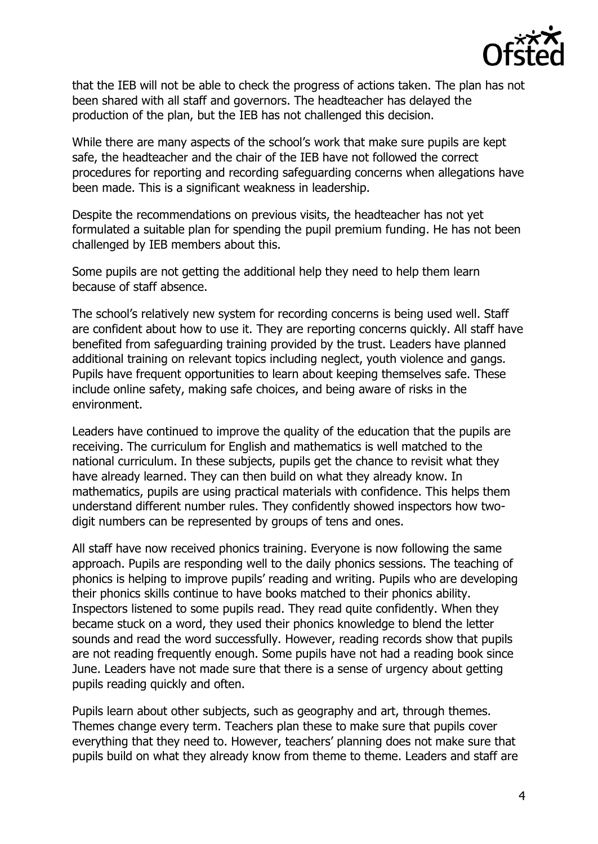

that the IEB will not be able to check the progress of actions taken. The plan has not been shared with all staff and governors. The headteacher has delayed the production of the plan, but the IEB has not challenged this decision.

While there are many aspects of the school's work that make sure pupils are kept safe, the headteacher and the chair of the IEB have not followed the correct procedures for reporting and recording safeguarding concerns when allegations have been made. This is a significant weakness in leadership.

Despite the recommendations on previous visits, the headteacher has not yet formulated a suitable plan for spending the pupil premium funding. He has not been challenged by IEB members about this.

Some pupils are not getting the additional help they need to help them learn because of staff absence.

The school's relatively new system for recording concerns is being used well. Staff are confident about how to use it. They are reporting concerns quickly. All staff have benefited from safeguarding training provided by the trust. Leaders have planned additional training on relevant topics including neglect, youth violence and gangs. Pupils have frequent opportunities to learn about keeping themselves safe. These include online safety, making safe choices, and being aware of risks in the environment.

Leaders have continued to improve the quality of the education that the pupils are receiving. The curriculum for English and mathematics is well matched to the national curriculum. In these subjects, pupils get the chance to revisit what they have already learned. They can then build on what they already know. In mathematics, pupils are using practical materials with confidence. This helps them understand different number rules. They confidently showed inspectors how twodigit numbers can be represented by groups of tens and ones.

All staff have now received phonics training. Everyone is now following the same approach. Pupils are responding well to the daily phonics sessions. The teaching of phonics is helping to improve pupils' reading and writing. Pupils who are developing their phonics skills continue to have books matched to their phonics ability. Inspectors listened to some pupils read. They read quite confidently. When they became stuck on a word, they used their phonics knowledge to blend the letter sounds and read the word successfully. However, reading records show that pupils are not reading frequently enough. Some pupils have not had a reading book since June. Leaders have not made sure that there is a sense of urgency about getting pupils reading quickly and often.

Pupils learn about other subjects, such as geography and art, through themes. Themes change every term. Teachers plan these to make sure that pupils cover everything that they need to. However, teachers' planning does not make sure that pupils build on what they already know from theme to theme. Leaders and staff are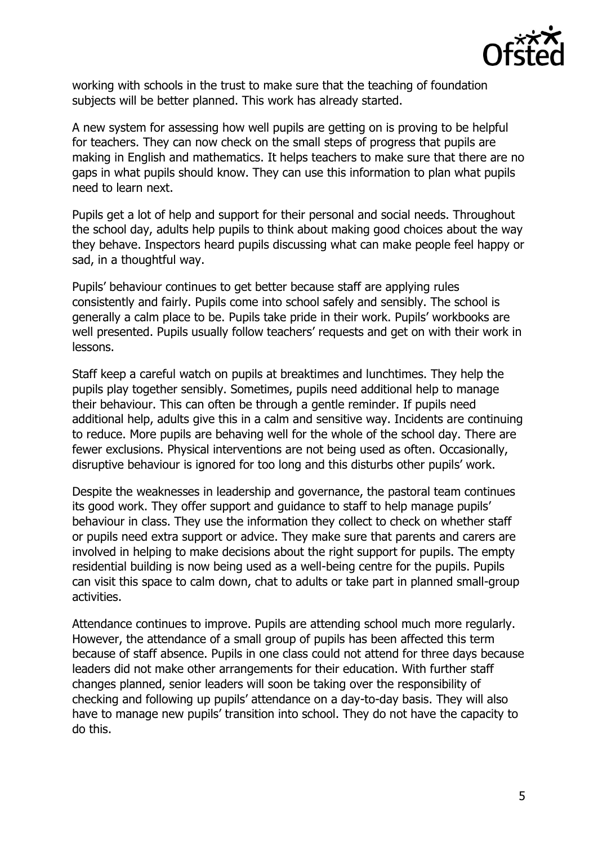

working with schools in the trust to make sure that the teaching of foundation subjects will be better planned. This work has already started.

A new system for assessing how well pupils are getting on is proving to be helpful for teachers. They can now check on the small steps of progress that pupils are making in English and mathematics. It helps teachers to make sure that there are no gaps in what pupils should know. They can use this information to plan what pupils need to learn next.

Pupils get a lot of help and support for their personal and social needs. Throughout the school day, adults help pupils to think about making good choices about the way they behave. Inspectors heard pupils discussing what can make people feel happy or sad, in a thoughtful way.

Pupils' behaviour continues to get better because staff are applying rules consistently and fairly. Pupils come into school safely and sensibly. The school is generally a calm place to be. Pupils take pride in their work. Pupils' workbooks are well presented. Pupils usually follow teachers' requests and get on with their work in lessons.

Staff keep a careful watch on pupils at breaktimes and lunchtimes. They help the pupils play together sensibly. Sometimes, pupils need additional help to manage their behaviour. This can often be through a gentle reminder. If pupils need additional help, adults give this in a calm and sensitive way. Incidents are continuing to reduce. More pupils are behaving well for the whole of the school day. There are fewer exclusions. Physical interventions are not being used as often. Occasionally, disruptive behaviour is ignored for too long and this disturbs other pupils' work.

Despite the weaknesses in leadership and governance, the pastoral team continues its good work. They offer support and guidance to staff to help manage pupils' behaviour in class. They use the information they collect to check on whether staff or pupils need extra support or advice. They make sure that parents and carers are involved in helping to make decisions about the right support for pupils. The empty residential building is now being used as a well-being centre for the pupils. Pupils can visit this space to calm down, chat to adults or take part in planned small-group activities.

Attendance continues to improve. Pupils are attending school much more regularly. However, the attendance of a small group of pupils has been affected this term because of staff absence. Pupils in one class could not attend for three days because leaders did not make other arrangements for their education. With further staff changes planned, senior leaders will soon be taking over the responsibility of checking and following up pupils' attendance on a day-to-day basis. They will also have to manage new pupils' transition into school. They do not have the capacity to do this.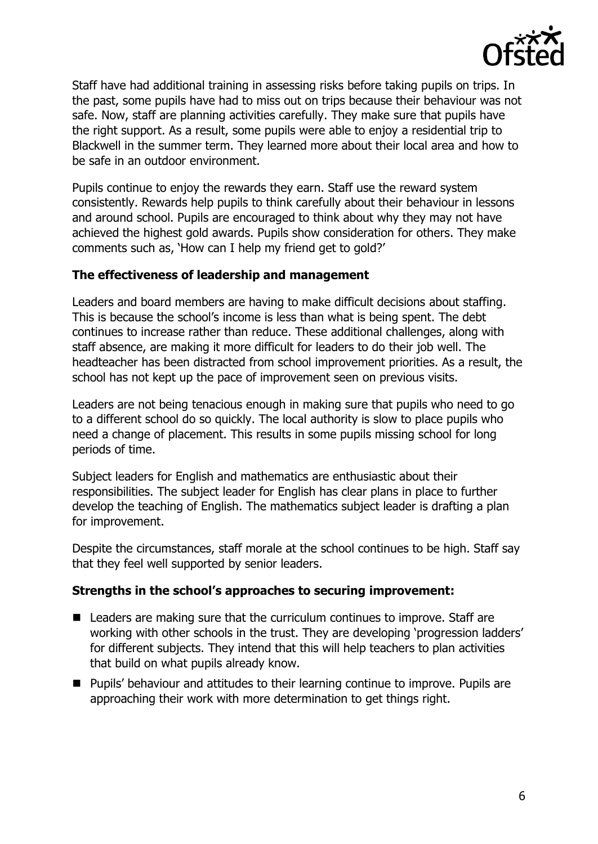

Staff have had additional training in assessing risks before taking pupils on trips. In the past, some pupils have had to miss out on trips because their behaviour was not safe. Now, staff are planning activities carefully. They make sure that pupils have the right support. As a result, some pupils were able to enjoy a residential trip to Blackwell in the summer term. They learned more about their local area and how to be safe in an outdoor environment.

Pupils continue to enjoy the rewards they earn. Staff use the reward system consistently. Rewards help pupils to think carefully about their behaviour in lessons and around school. Pupils are encouraged to think about why they may not have achieved the highest gold awards. Pupils show consideration for others. They make comments such as, 'How can I help my friend get to gold?'

#### **The effectiveness of leadership and management**

Leaders and board members are having to make difficult decisions about staffing. This is because the school's income is less than what is being spent. The debt continues to increase rather than reduce. These additional challenges, along with staff absence, are making it more difficult for leaders to do their job well. The headteacher has been distracted from school improvement priorities. As a result, the school has not kept up the pace of improvement seen on previous visits.

Leaders are not being tenacious enough in making sure that pupils who need to go to a different school do so quickly. The local authority is slow to place pupils who need a change of placement. This results in some pupils missing school for long periods of time.

Subject leaders for English and mathematics are enthusiastic about their responsibilities. The subject leader for English has clear plans in place to further develop the teaching of English. The mathematics subject leader is drafting a plan for improvement.

Despite the circumstances, staff morale at the school continues to be high. Staff say that they feel well supported by senior leaders.

#### **Strengths in the school's approaches to securing improvement:**

- Leaders are making sure that the curriculum continues to improve. Staff are working with other schools in the trust. They are developing 'progression ladders' for different subjects. They intend that this will help teachers to plan activities that build on what pupils already know.
- **Pupils' behaviour and attitudes to their learning continue to improve. Pupils are** approaching their work with more determination to get things right.